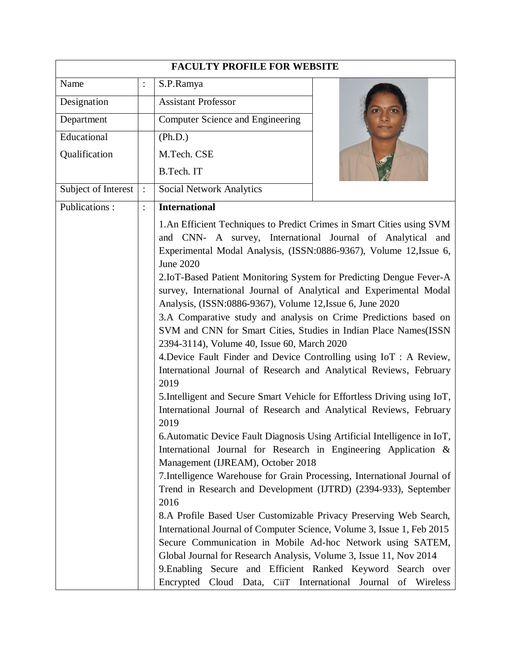| <b>FACULTY PROFILE FOR WEBSITE</b> |                |                                                                                                                                                                                                                                                                                                                                                                                                                                                                                                                                                                                                                                                                                                                                                                                                                                                                                                                                                                                                                                                                                                                                                                                                                                                                                                                                                                                                                                                                                                                                                                                   |  |  |
|------------------------------------|----------------|-----------------------------------------------------------------------------------------------------------------------------------------------------------------------------------------------------------------------------------------------------------------------------------------------------------------------------------------------------------------------------------------------------------------------------------------------------------------------------------------------------------------------------------------------------------------------------------------------------------------------------------------------------------------------------------------------------------------------------------------------------------------------------------------------------------------------------------------------------------------------------------------------------------------------------------------------------------------------------------------------------------------------------------------------------------------------------------------------------------------------------------------------------------------------------------------------------------------------------------------------------------------------------------------------------------------------------------------------------------------------------------------------------------------------------------------------------------------------------------------------------------------------------------------------------------------------------------|--|--|
| Name                               | $\ddot{\cdot}$ | S.P.Ramya                                                                                                                                                                                                                                                                                                                                                                                                                                                                                                                                                                                                                                                                                                                                                                                                                                                                                                                                                                                                                                                                                                                                                                                                                                                                                                                                                                                                                                                                                                                                                                         |  |  |
| Designation                        |                | <b>Assistant Professor</b>                                                                                                                                                                                                                                                                                                                                                                                                                                                                                                                                                                                                                                                                                                                                                                                                                                                                                                                                                                                                                                                                                                                                                                                                                                                                                                                                                                                                                                                                                                                                                        |  |  |
| Department                         |                | Computer Science and Engineering                                                                                                                                                                                                                                                                                                                                                                                                                                                                                                                                                                                                                                                                                                                                                                                                                                                                                                                                                                                                                                                                                                                                                                                                                                                                                                                                                                                                                                                                                                                                                  |  |  |
| Educational                        |                | (Ph.D.)                                                                                                                                                                                                                                                                                                                                                                                                                                                                                                                                                                                                                                                                                                                                                                                                                                                                                                                                                                                                                                                                                                                                                                                                                                                                                                                                                                                                                                                                                                                                                                           |  |  |
| Qualification                      |                | M.Tech. CSE                                                                                                                                                                                                                                                                                                                                                                                                                                                                                                                                                                                                                                                                                                                                                                                                                                                                                                                                                                                                                                                                                                                                                                                                                                                                                                                                                                                                                                                                                                                                                                       |  |  |
|                                    |                | B.Tech. IT                                                                                                                                                                                                                                                                                                                                                                                                                                                                                                                                                                                                                                                                                                                                                                                                                                                                                                                                                                                                                                                                                                                                                                                                                                                                                                                                                                                                                                                                                                                                                                        |  |  |
| Subject of Interest                | $\ddot{\cdot}$ | <b>Social Network Analytics</b>                                                                                                                                                                                                                                                                                                                                                                                                                                                                                                                                                                                                                                                                                                                                                                                                                                                                                                                                                                                                                                                                                                                                                                                                                                                                                                                                                                                                                                                                                                                                                   |  |  |
| Publications:                      |                | <b>International</b>                                                                                                                                                                                                                                                                                                                                                                                                                                                                                                                                                                                                                                                                                                                                                                                                                                                                                                                                                                                                                                                                                                                                                                                                                                                                                                                                                                                                                                                                                                                                                              |  |  |
|                                    |                | 1. An Efficient Techniques to Predict Crimes in Smart Cities using SVM<br>and CNN- A survey, International Journal of Analytical<br>and<br>Experimental Modal Analysis, (ISSN:0886-9367), Volume 12, Issue 6,<br><b>June 2020</b><br>2.IoT-Based Patient Monitoring System for Predicting Dengue Fever-A<br>survey, International Journal of Analytical and Experimental Modal<br>Analysis, (ISSN:0886-9367), Volume 12, Issue 6, June 2020<br>3.A Comparative study and analysis on Crime Predictions based on<br>SVM and CNN for Smart Cities, Studies in Indian Place Names(ISSN<br>2394-3114), Volume 40, Issue 60, March 2020<br>4. Device Fault Finder and Device Controlling using IoT: A Review,<br>International Journal of Research and Analytical Reviews, February<br>2019<br>5. Intelligent and Secure Smart Vehicle for Effortless Driving using IoT,<br>International Journal of Research and Analytical Reviews, February<br>2019<br>6. Automatic Device Fault Diagnosis Using Artificial Intelligence in IoT,<br>International Journal for Research in Engineering Application &<br>Management (IJREAM), October 2018<br>7. Intelligence Warehouse for Grain Processing, International Journal of<br>Trend in Research and Development (IJTRD) (2394-933), September<br>2016<br>8.A Profile Based User Customizable Privacy Preserving Web Search,<br>International Journal of Computer Science, Volume 3, Issue 1, Feb 2015<br>Secure Communication in Mobile Ad-hoc Network using SATEM,<br>Global Journal for Research Analysis, Volume 3, Issue 11, Nov 2014 |  |  |